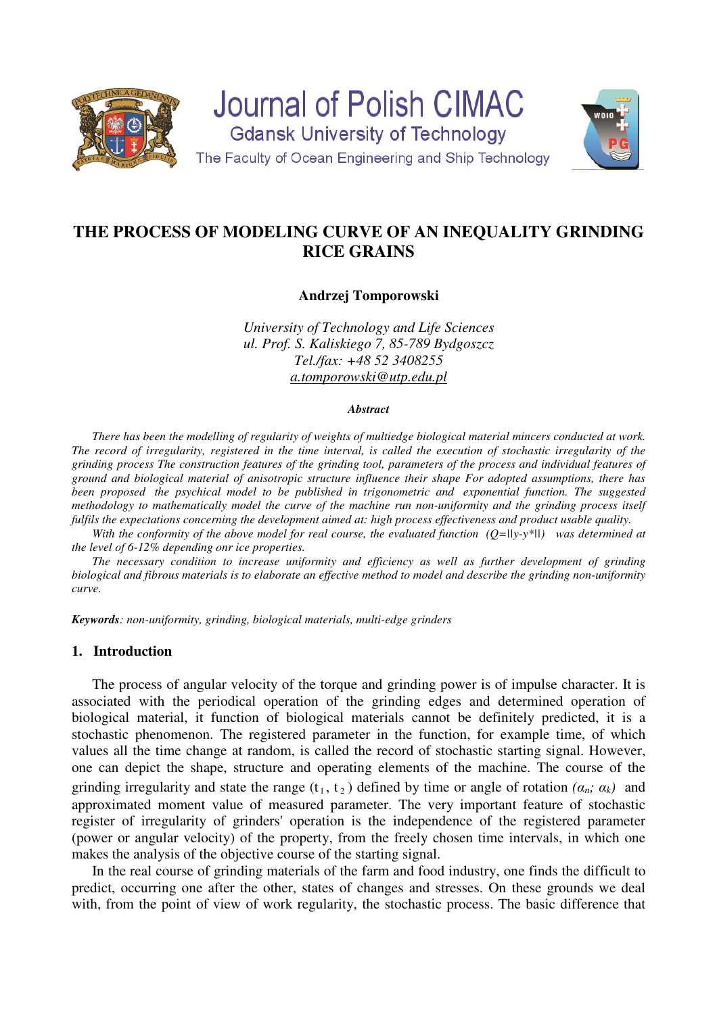

**Journal of Polish CIMAC Gdansk University of Technology** The Faculty of Ocean Engineering and Ship Technology



# **THE PROCESS OF MODELING CURVE OF AN INEQUALITY GRINDING RICE GRAINS**

**Andrzej Tomporowski** 

*University of Technology and Life Sciences ul. Prof. S. Kaliskiego 7, 85-789 Bydgoszcz Tel./fax: +48 52 3408255 a.tomporowski@utp.edu.pl* 

#### *Abstract*

*There has been the modelling of regularity of weights of multiedge biological material mincers conducted at work. The record of irregularity, registered in the time interval, is called the execution of stochastic irregularity of the grinding process The construction features of the grinding tool, parameters of the process and individual features of ground and biological material of anisotropic structure influence their shape For adopted assumptions, there has*  been proposed the psychical model to be published in trigonometric and exponential function. The suggested *methodology to mathematically model the curve of the machine run non-uniformity and the grinding process itself fulfils the expectations concerning the development aimed at: high process effectiveness and product usable quality.* 

*With the conformity of the above model for real course, the evaluated function (Q=||y-y\*||) was determined at the level of 6-12% depending onr ice properties.* 

*The necessary condition to increase uniformity and efficiency as well as further development of grinding biological and fibrous materials is to elaborate an effective method to model and describe the grinding non-uniformity curve.* 

*Keywords: non-uniformity, grinding, biological materials, multi-edge grinders* 

#### **1. Introduction**

The process of angular velocity of the torque and grinding power is of impulse character. It is associated with the periodical operation of the grinding edges and determined operation of biological material, it function of biological materials cannot be definitely predicted, it is a stochastic phenomenon. The registered parameter in the function, for example time, of which values all the time change at random, is called the record of stochastic starting signal. However, one can depict the shape, structure and operating elements of the machine. The course of the grinding irregularity and state the range  $(t_1, t_2)$  defined by time or angle of rotation  $(a_n; a_k)$  and approximated moment value of measured parameter. The very important feature of stochastic register of irregularity of grinders' operation is the independence of the registered parameter (power or angular velocity) of the property, from the freely chosen time intervals, in which one makes the analysis of the objective course of the starting signal.

In the real course of grinding materials of the farm and food industry, one finds the difficult to predict, occurring one after the other, states of changes and stresses. On these grounds we deal with, from the point of view of work regularity, the stochastic process. The basic difference that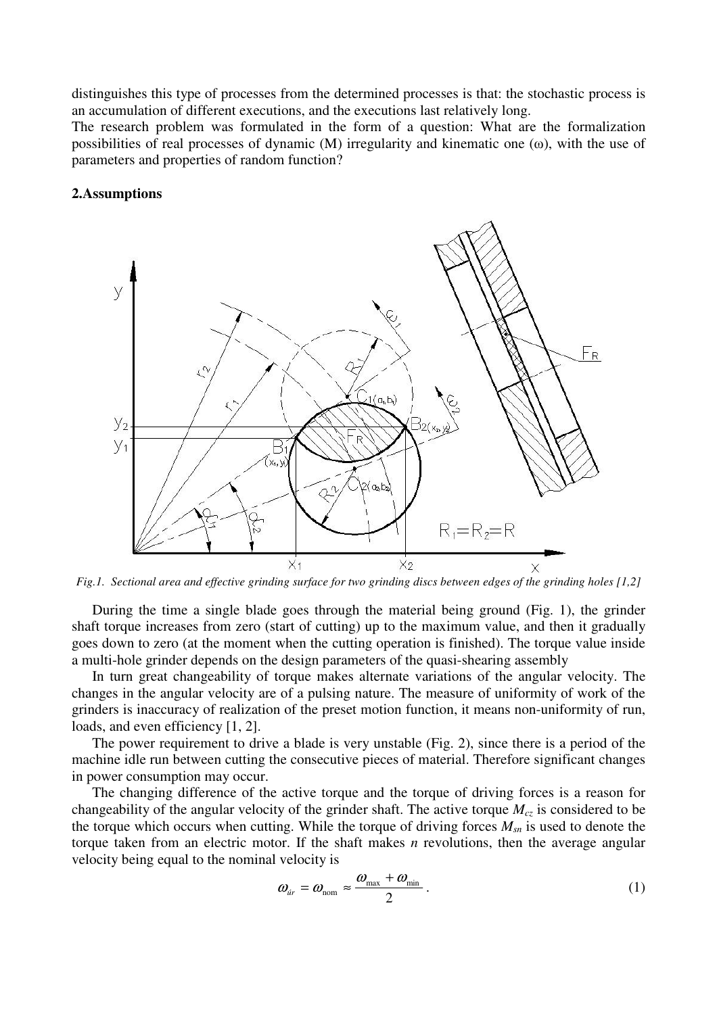distinguishes this type of processes from the determined processes is that: the stochastic process is an accumulation of different executions, and the executions last relatively long.

The research problem was formulated in the form of a question: What are the formalization possibilities of real processes of dynamic (M) irregularity and kinematic one (ω), with the use of parameters and properties of random function?

#### **2.Assumptions**



*Fig.1. Sectional area and effective grinding surface for two grinding discs between edges of the grinding holes [1,2]* 

During the time a single blade goes through the material being ground (Fig. 1), the grinder shaft torque increases from zero (start of cutting) up to the maximum value, and then it gradually goes down to zero (at the moment when the cutting operation is finished). The torque value inside a multi-hole grinder depends on the design parameters of the quasi-shearing assembly

In turn great changeability of torque makes alternate variations of the angular velocity. The changes in the angular velocity are of a pulsing nature. The measure of uniformity of work of the grinders is inaccuracy of realization of the preset motion function, it means non-uniformity of run, loads, and even efficiency [1, 2].

The power requirement to drive a blade is very unstable (Fig. 2), since there is a period of the machine idle run between cutting the consecutive pieces of material. Therefore significant changes in power consumption may occur.

The changing difference of the active torque and the torque of driving forces is a reason for changeability of the angular velocity of the grinder shaft. The active torque  $M_{c\bar{z}}$  is considered to be the torque which occurs when cutting. While the torque of driving forces *Msn* is used to denote the torque taken from an electric motor. If the shaft makes *n* revolutions, then the average angular velocity being equal to the nominal velocity is

$$
\omega_{\text{ir}} = \omega_{\text{nom}} \approx \frac{\omega_{\text{max}} + \omega_{\text{min}}}{2} \,. \tag{1}
$$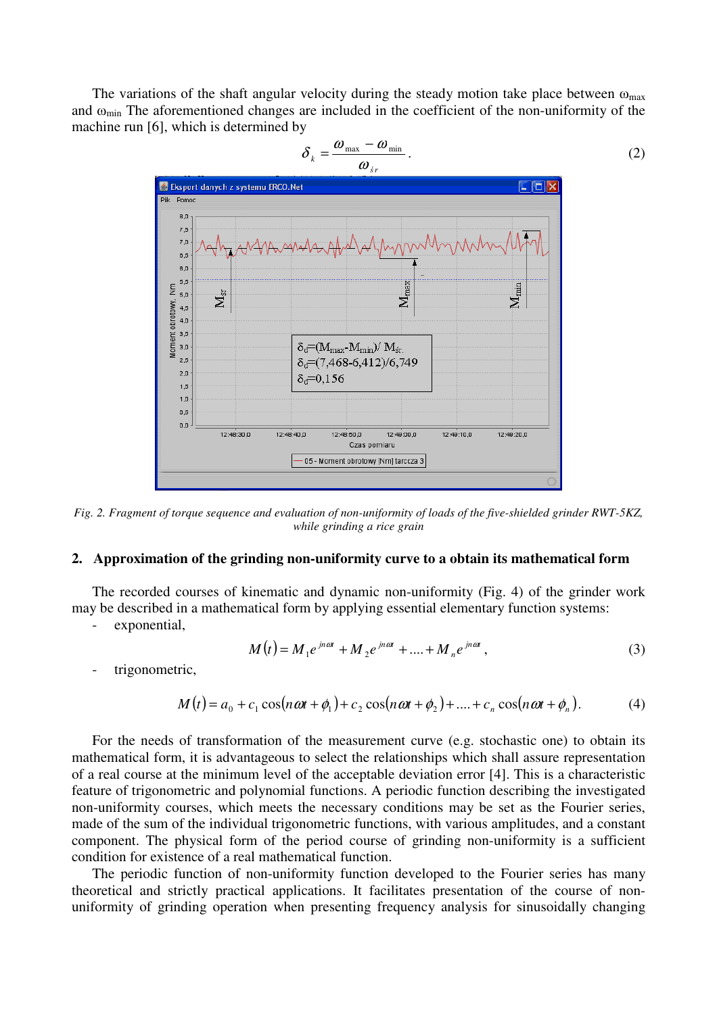The variations of the shaft angular velocity during the steady motion take place between  $\omega_{\text{max}}$ and ωmin The aforementioned changes are included in the coefficient of the non-uniformity of the machine run [6], which is determined by



*Fig. 2. Fragment of torque sequence and evaluation of non-uniformity of loads of the five-shielded grinder RWT-5KZ, while grinding a rice grain* 

### **2. Approximation of the grinding non-uniformity curve to a obtain its mathematical form**

The recorded courses of kinematic and dynamic non-uniformity (Fig. 4) of the grinder work may be described in a mathematical form by applying essential elementary function systems:

exponential,

$$
M(t) = M_1 e^{jn\omega t} + M_2 e^{jn\omega t} + \dots + M_n e^{jn\omega t},
$$
\n(3)

trigonometric,

$$
M(t) = a_0 + c_1 \cos(n\omega t + \phi_1) + c_2 \cos(n\omega t + \phi_2) + \dots + c_n \cos(n\omega t + \phi_n).
$$
 (4)

For the needs of transformation of the measurement curve (e.g. stochastic one) to obtain its mathematical form, it is advantageous to select the relationships which shall assure representation of a real course at the minimum level of the acceptable deviation error [4]. This is a characteristic feature of trigonometric and polynomial functions. A periodic function describing the investigated non-uniformity courses, which meets the necessary conditions may be set as the Fourier series, made of the sum of the individual trigonometric functions, with various amplitudes, and a constant component. The physical form of the period course of grinding non-uniformity is a sufficient condition for existence of a real mathematical function.

The periodic function of non-uniformity function developed to the Fourier series has many theoretical and strictly practical applications. It facilitates presentation of the course of nonuniformity of grinding operation when presenting frequency analysis for sinusoidally changing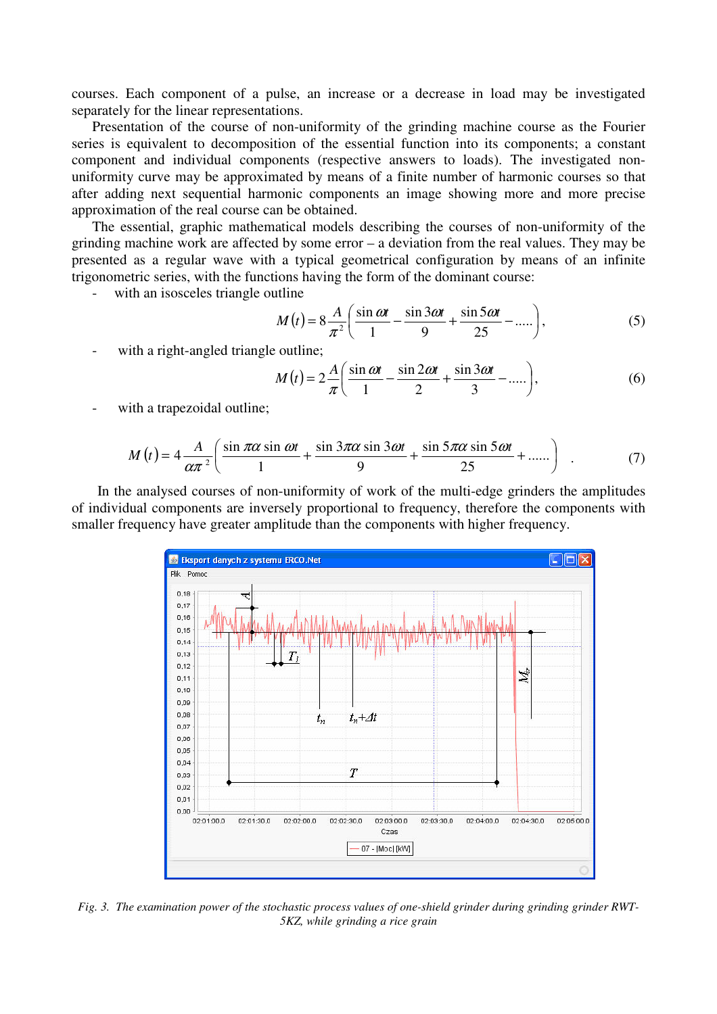courses. Each component of a pulse, an increase or a decrease in load may be investigated separately for the linear representations.

Presentation of the course of non-uniformity of the grinding machine course as the Fourier series is equivalent to decomposition of the essential function into its components; a constant component and individual components (respective answers to loads). The investigated nonuniformity curve may be approximated by means of a finite number of harmonic courses so that after adding next sequential harmonic components an image showing more and more precise approximation of the real course can be obtained.

The essential, graphic mathematical models describing the courses of non-uniformity of the grinding machine work are affected by some error – a deviation from the real values. They may be presented as a regular wave with a typical geometrical configuration by means of an infinite trigonometric series, with the functions having the form of the dominant course:

with an isosceles triangle outline

$$
M(t) = 8\frac{A}{\pi^2} \left( \frac{\sin \omega t}{1} - \frac{\sin 3\omega t}{9} + \frac{\sin 5\omega t}{25} - \dots \right),\tag{5}
$$

with a right-angled triangle outline;

$$
M(t) = 2\frac{A}{\pi} \left( \frac{\sin \omega t}{1} - \frac{\sin 2\omega t}{2} + \frac{\sin 3\omega t}{3} - \dots \right),\tag{6}
$$

with a trapezoidal outline;

$$
M(t) = 4\frac{A}{\alpha\pi^2} \left( \frac{\sin \pi\alpha \sin \omega t}{1} + \frac{\sin 3\pi\alpha \sin 3\omega t}{9} + \frac{\sin 5\pi\alpha \sin 5\omega t}{25} + \dots \right) \quad . \tag{7}
$$

In the analysed courses of non-uniformity of work of the multi-edge grinders the amplitudes of individual components are inversely proportional to frequency, therefore the components with smaller frequency have greater amplitude than the components with higher frequency.



*Fig. 3. The examination power of the stochastic process values of one-shield grinder during grinding grinder RWT-5KZ, while grinding a rice grain*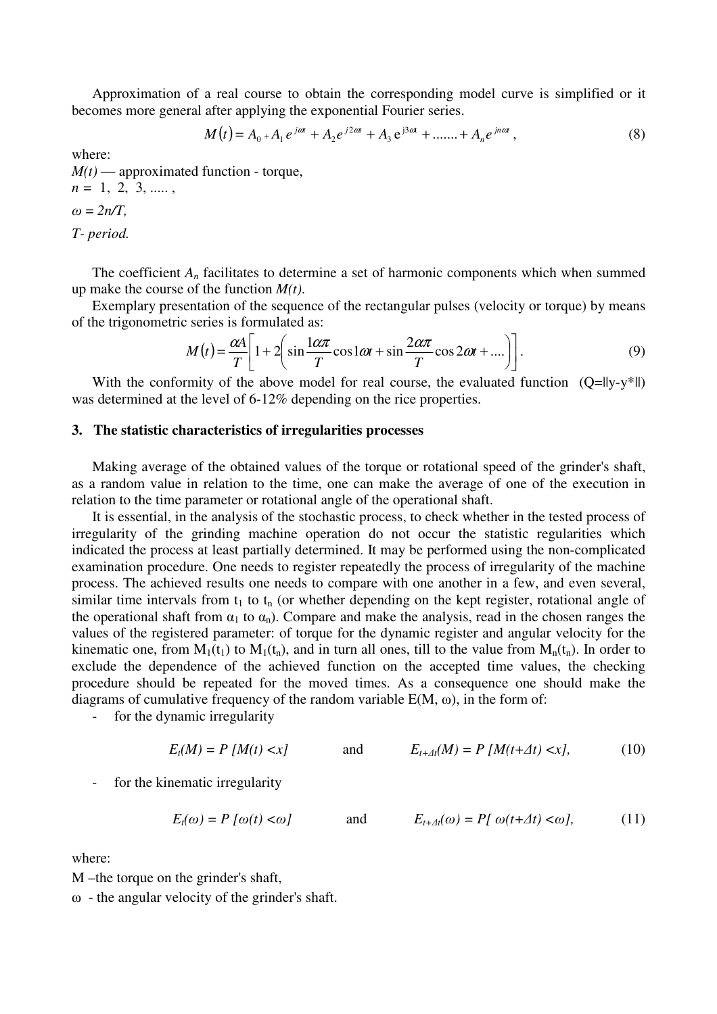Approximation of a real course to obtain the corresponding model curve is simplified or it becomes more general after applying the exponential Fourier series.

$$
M(t) = A_0 + A_1 e^{j\omega t} + A_2 e^{j2\omega t} + A_3 e^{j3\omega t} + \dots + A_n e^{jn\omega t},
$$
\n(8)

where:

 $M(t)$  — approximated function - torque, *n =* 1, 2, 3, ..... ,  $\omega = 2n/T$ . *T- period.* 

The coefficient *An* facilitates to determine a set of harmonic components which when summed up make the course of the function *M(t)*.

Exemplary presentation of the sequence of the rectangular pulses (velocity or torque) by means of the trigonometric series is formulated as:

$$
M(t) = \frac{\alpha A}{T} \left[ 1 + 2 \left( \sin \frac{1 \alpha \pi}{T} \cos 1 \omega t + \sin \frac{2 \alpha \pi}{T} \cos 2 \omega t + \dots \right) \right].
$$
 (9)

With the conformity of the above model for real course, the evaluated function  $(Q=||y-y^*||)$ was determined at the level of 6-12% depending on the rice properties.

# **3. The statistic characteristics of irregularities processes**

Making average of the obtained values of the torque or rotational speed of the grinder's shaft, as a random value in relation to the time, one can make the average of one of the execution in relation to the time parameter or rotational angle of the operational shaft.

It is essential, in the analysis of the stochastic process, to check whether in the tested process of irregularity of the grinding machine operation do not occur the statistic regularities which indicated the process at least partially determined. It may be performed using the non-complicated examination procedure. One needs to register repeatedly the process of irregularity of the machine process. The achieved results one needs to compare with one another in a few, and even several, similar time intervals from  $t_1$  to  $t_n$  (or whether depending on the kept register, rotational angle of the operational shaft from  $\alpha_1$  to  $\alpha_n$ ). Compare and make the analysis, read in the chosen ranges the values of the registered parameter: of torque for the dynamic register and angular velocity for the kinematic one, from  $M_1(t_1)$  to  $M_1(t_n)$ , and in turn all ones, till to the value from  $M_n(t_n)$ . In order to exclude the dependence of the achieved function on the accepted time values, the checking procedure should be repeated for the moved times. As a consequence one should make the diagrams of cumulative frequency of the random variable  $E(M, \omega)$ , in the form of:

- for the dynamic irregularity

$$
E_t(M) = P\left[M(t) < x\right] \qquad \text{and} \qquad E_{t+At}(M) = P\left[M(t+\Delta t) < x\right],\tag{10}
$$

for the kinematic irregularity

$$
E_t(\omega) = P[\omega(t) < \omega] \quad \text{and} \quad E_{t+At}(\omega) = P[\omega(t+At) < \omega], \quad (11)
$$

where:

M –the torque on the grinder's shaft,

 $\omega$  - the angular velocity of the grinder's shaft.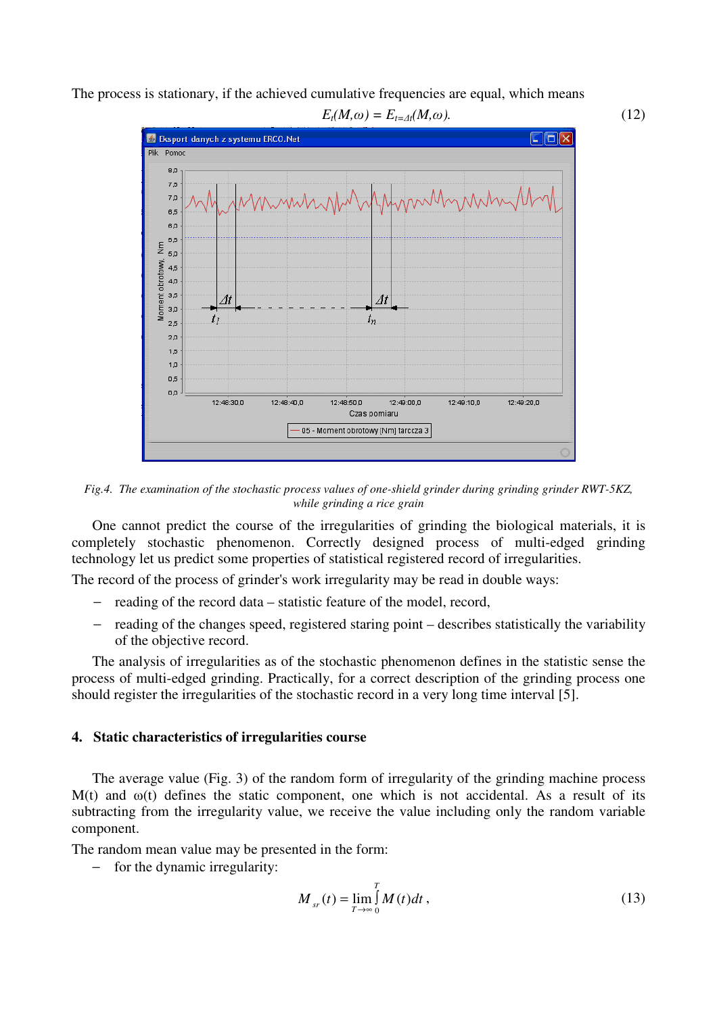The process is stationary, if the achieved cumulative frequencies are equal, which means



*Fig.4. The examination of the stochastic process values of one-shield grinder during grinding grinder RWT-5KZ, while grinding a rice grain* 

One cannot predict the course of the irregularities of grinding the biological materials, it is completely stochastic phenomenon. Correctly designed process of multi-edged grinding technology let us predict some properties of statistical registered record of irregularities.

The record of the process of grinder's work irregularity may be read in double ways:

- − reading of the record data statistic feature of the model, record,
- reading of the changes speed, registered staring point describes statistically the variability of the objective record.

The analysis of irregularities as of the stochastic phenomenon defines in the statistic sense the process of multi-edged grinding. Practically, for a correct description of the grinding process one should register the irregularities of the stochastic record in a very long time interval [5].

# **4. Static characteristics of irregularities course**

The average value (Fig. 3) of the random form of irregularity of the grinding machine process M(t) and  $\omega(t)$  defines the static component, one which is not accidental. As a result of its subtracting from the irregularity value, we receive the value including only the random variable component.

The random mean value may be presented in the form:

− for the dynamic irregularity:

$$
M_{sr}(t) = \lim_{T \to \infty} \int_{0}^{T} M(t)dt,
$$
\n(13)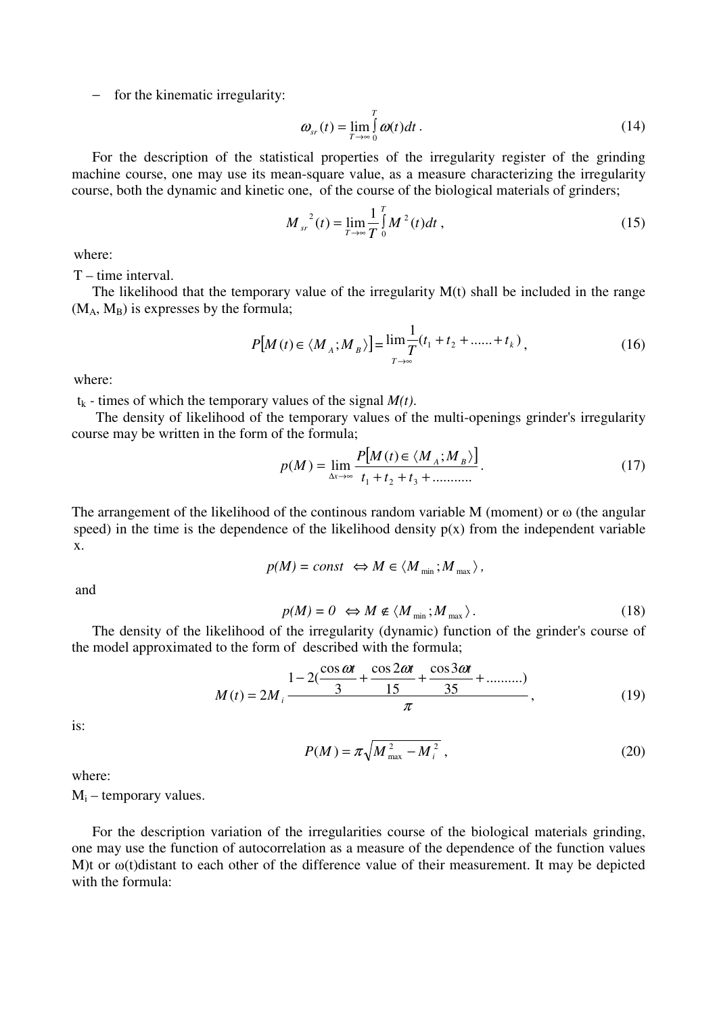− for the kinematic irregularity:

$$
\omega_{sr}(t) = \lim_{T \to \infty} \int_{0}^{T} \omega(t) dt.
$$
\n(14)

For the description of the statistical properties of the irregularity register of the grinding machine course, one may use its mean-square value, as a measure characterizing the irregularity course, both the dynamic and kinetic one, of the course of the biological materials of grinders;

$$
M_{sr}^{2}(t) = \lim_{T \to \infty} \frac{1}{T} \int_{0}^{T} M^{2}(t)dt,
$$
\n(15)

where:

T – time interval.

The likelihood that the temporary value of the irregularity  $M(t)$  shall be included in the range  $(M_A, M_B)$  is expresses by the formula;

$$
P[M(t) \in \langle M_A; M_B \rangle] = \lim_{T \to \infty} \frac{1}{T} (t_1 + t_2 + \dots + t_k), \qquad (16)
$$

where:

 $t_k$  - times of which the temporary values of the signal  $M(t)$ .

 The density of likelihood of the temporary values of the multi-openings grinder's irregularity course may be written in the form of the formula;

$$
p(M) = \lim_{\Delta x \to \infty} \frac{P[M(t) \in \langle M_A; M_B \rangle]}{t_1 + t_2 + t_3 + \dots \dots}
$$
 (17)

The arrangement of the likelihood of the continous random variable M (moment) or  $\omega$  (the angular speed) in the time is the dependence of the likelihood density  $p(x)$  from the independent variable x.

$$
p(M) = const \Leftrightarrow M \in \langle M_{\min}; M_{\max} \rangle,
$$

and

$$
p(M) = 0 \iff M \notin \langle M_{\min} ; M_{\max} \rangle. \tag{18}
$$

The density of the likelihood of the irregularity (dynamic) function of the grinder's course of the model approximated to the form of described with the formula;

$$
M(t) = 2M_{i} \frac{1 - 2(\frac{\cos \omega t}{3} + \frac{\cos 2\omega t}{15} + \frac{\cos 3\omega t}{35} + \dots \dots \dots)}{\pi},
$$
 (19)

is:

$$
P(M) = \pi \sqrt{M_{\text{max}}^2 - M_i^2} \,, \tag{20}
$$

where:

 $M_i$  – temporary values.

For the description variation of the irregularities course of the biological materials grinding, one may use the function of autocorrelation as a measure of the dependence of the function values M)t or ω(t)distant to each other of the difference value of their measurement. It may be depicted with the formula: